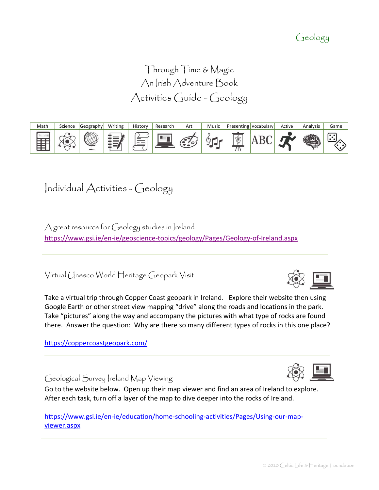#### © 2020 Celtic Life & Heritage Foundation

### Geology

Through Time & Magic An Irish Adventure Book Activities Guide - Geology



# Individual Activities - Geology

A great resource for Geology studies in Ireland <https://www.gsi.ie/en-ie/geoscience-topics/geology/Pages/Geology-of-Ireland.aspx>

Virtual Unesco World Heritage Geopark Visit

Take a virtual trip through Copper Coast geopark in Ireland. Explore their website then using Google Earth or other street view mapping "drive" along the roads and locations in the park. Take "pictures" along the way and accompany the pictures with what type of rocks are found there. Answer the question: Why are there so many different types of rocks in this one place?

<https://coppercoastgeopark.com/>

Geological Survey Ireland Map Viewing

Go to the website below. Open up their map viewer and find an area of Ireland to explore. After each task, turn off a layer of the map to dive deeper into the rocks of Ireland.

[https://www.gsi.ie/en-ie/education/home-schooling-activities/Pages/Using-our-map](https://www.gsi.ie/en-ie/education/home-schooling-activities/Pages/Using-our-map-viewer.aspx)[viewer.aspx](https://www.gsi.ie/en-ie/education/home-schooling-activities/Pages/Using-our-map-viewer.aspx)



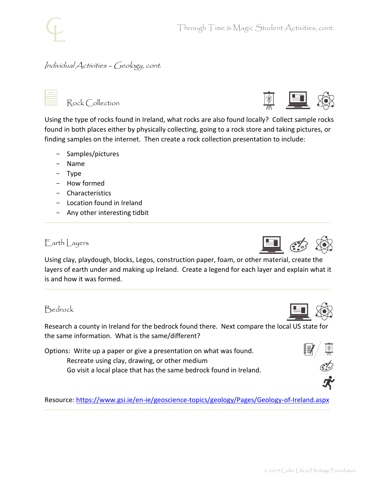### Individual Activities – Geology, cont.

|  | Rock Collection |
|--|-----------------|
|--|-----------------|

Using the type of rocks found in Ireland, what rocks are also found locally? Collect sample rocks found in both places either by physically collecting, going to a rock store and taking pictures, or finding samples on the internet. Then create a rock collection presentation to include:

- Samples/pictures
- Name
- Type
- How formed
- Characteristics
- Location found in Ireland
- Any other interesting tidbit

#### $F$  arth  $|$  ayers

Using clay, playdough, blocks, Legos, construction paper, foam, or other material, create the layers of earth under and making up Ireland. Create a legend for each layer and explain what it is and how it was formed.

#### Bedrock

Research a county in Ireland for the bedrock found there. Next compare the local US state for the same information. What is the same/different?

Options: Write up a paper or give a presentation on what was found. Recreate using clay, drawing, or other medium Go visit a local place that has the same bedrock found in Ireland.

Resource:<https://www.gsi.ie/en-ie/geoscience-topics/geology/Pages/Geology-of-Ireland.aspx>









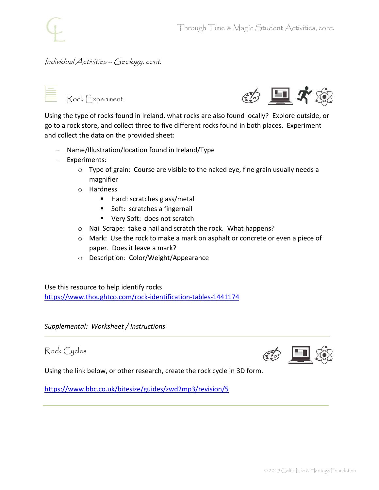#### Individual Activities – Geology, cont.



Rock Experiment



Using the type of rocks found in Ireland, what rocks are also found locally? Explore outside, or go to a rock store, and collect three to five different rocks found in both places. Experiment and collect the data on the provided sheet:

- Name/Illustration/location found in Ireland/Type
- Experiments:
	- o Type of grain: Course are visible to the naked eye, fine grain usually needs a magnifier
	- o Hardness
		- Hard: scratches glass/metal
		- Soft: scratches a fingernail
		- Very Soft: does not scratch
	- o Nail Scrape: take a nail and scratch the rock. What happens?
	- o Mark: Use the rock to make a mark on asphalt or concrete or even a piece of paper. Does it leave a mark?
	- o Description: Color/Weight/Appearance

Use this resource to help identify rocks <https://www.thoughtco.com/rock-identification-tables-1441174>

*Supplemental: Worksheet / Instructions*

Rock Cycles



Using the link below, or other research, create the rock cycle in 3D form.

<https://www.bbc.co.uk/bitesize/guides/zwd2mp3/revision/5>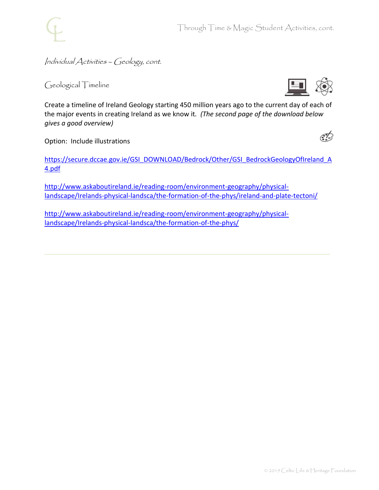

Through Time & Magic Student Activities, cont.

Individual Activities – Geology, cont.

Geological Timeline



Create a timeline of Ireland Geology starting 450 million years ago to the current day of each of the major events in creating Ireland as we know it*. (The second page of the download below gives a good overview)*

Option: Include illustrations

[https://secure.dccae.gov.ie/GSI\\_DOWNLOAD/Bedrock/Other/GSI\\_BedrockGeologyOfIreland\\_A](https://secure.dccae.gov.ie/GSI_DOWNLOAD/Bedrock/Other/GSI_BedrockGeologyOfIreland_A4.pdf) [4.pdf](https://secure.dccae.gov.ie/GSI_DOWNLOAD/Bedrock/Other/GSI_BedrockGeologyOfIreland_A4.pdf)

[http://www.askaboutireland.ie/reading-room/environment-geography/physical](http://www.askaboutireland.ie/reading-room/environment-geography/physical-landscape/Irelands-physical-landsca/the-formation-of-the-phys/ireland-and-plate-tectoni/)[landscape/Irelands-physical-landsca/the-formation-of-the-phys/ireland-and-plate-tectoni/](http://www.askaboutireland.ie/reading-room/environment-geography/physical-landscape/Irelands-physical-landsca/the-formation-of-the-phys/ireland-and-plate-tectoni/)

[http://www.askaboutireland.ie/reading-room/environment-geography/physical](http://www.askaboutireland.ie/reading-room/environment-geography/physical-landscape/Irelands-physical-landsca/the-formation-of-the-phys/)[landscape/Irelands-physical-landsca/the-formation-of-the-phys/](http://www.askaboutireland.ie/reading-room/environment-geography/physical-landscape/Irelands-physical-landsca/the-formation-of-the-phys/)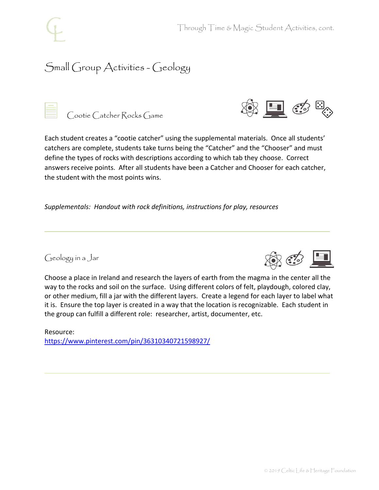## Small Group Activities - Geology



Cootie Catcher Rocks Game



Each student creates a "cootie catcher" using the supplemental materials. Once all students' catchers are complete, students take turns being the "Catcher" and the "Chooser" and must define the types of rocks with descriptions according to which tab they choose. Correct answers receive points. After all students have been a Catcher and Chooser for each catcher, the student with the most points wins.

*Supplementals: Handout with rock definitions, instructions for play, resources*

Geology in a Jar



Choose a place in Ireland and research the layers of earth from the magma in the center all the way to the rocks and soil on the surface. Using different colors of felt, playdough, colored clay, or other medium, fill a jar with the different layers. Create a legend for each layer to label what it is. Ensure the top layer is created in a way that the location is recognizable. Each student in the group can fulfill a different role: researcher, artist, documenter, etc.

Resource: <https://www.pinterest.com/pin/36310340721598927/>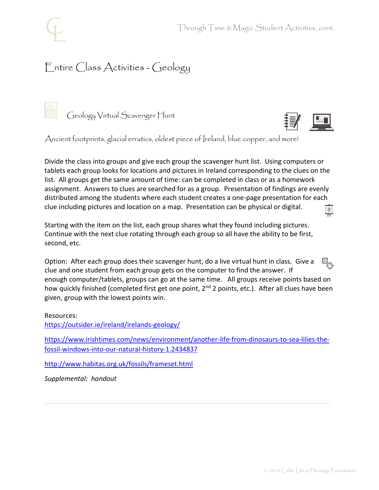# Entire Class Activities - Geology

Geology Virtual Scavenger Hunt



Ancient footprints, glacial erratics, oldest piece of Ireland, blue copper, and more!

Divide the class into groups and give each group the scavenger hunt list. Using computers or tablets each group looks for locations and pictures in Ireland corresponding to the clues on the list. All groups get the same amount of time: can be completed in class or as a homework assignment. Answers to clues are searched for as a group. Presentation of findings are evenly distributed among the students where each student creates a one-page presentation for each clue including pictures and location on a map. Presentation can be physical or digital.  $\ast$ 

Starting with the item on the list, each group shares what they found including pictures. Continue with the next clue rotating through each group so all have the ability to be first, second, etc.

 $E_{\odot}$ Option: After each group does their scavenger hunt, do a live virtual hunt in class. Give a clue and one student from each group gets on the computer to find the answer. If enough computer/tablets, groups can go at the same time. All groups receive points based on how quickly finished (completed first get one point, 2<sup>nd</sup> 2 points, etc.). After all clues have been given, group with the lowest points win.

Resources:

<https://outsider.ie/ireland/irelands-geology/>

[https://www.irishtimes.com/news/environment/another-life-from-dinosaurs-to-sea-lilies-the](https://www.irishtimes.com/news/environment/another-life-from-dinosaurs-to-sea-lilies-the-fossil-windows-into-our-natural-history-1.2434837)[fossil-windows-into-our-natural-history-1.2434837](https://www.irishtimes.com/news/environment/another-life-from-dinosaurs-to-sea-lilies-the-fossil-windows-into-our-natural-history-1.2434837)

<http://www.habitas.org.uk/fossils/frameset.html>

*Supplemental: handout*